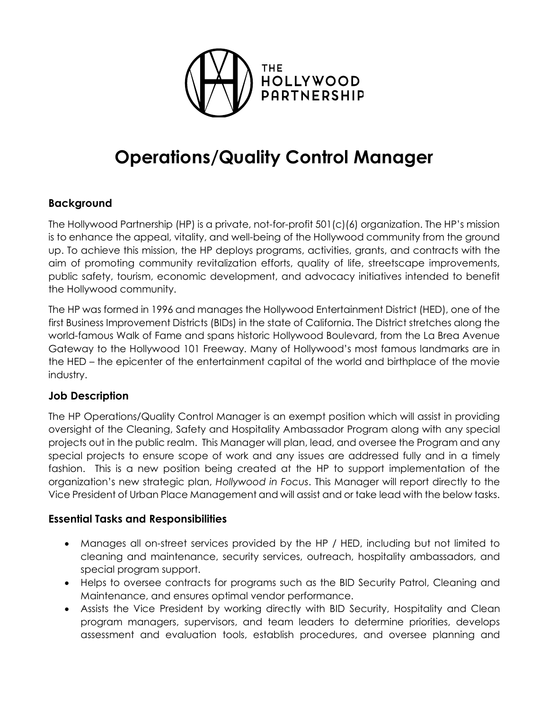

# Operations/Quality Control Manager

# Background

The Hollywood Partnership (HP) is a private, not-for-profit 501(c)(6) organization. The HP's mission is to enhance the appeal, vitality, and well-being of the Hollywood community from the ground up. To achieve this mission, the HP deploys programs, activities, grants, and contracts with the aim of promoting community revitalization efforts, quality of life, streetscape improvements, public safety, tourism, economic development, and advocacy initiatives intended to benefit the Hollywood community.

The HP was formed in 1996 and manages the Hollywood Entertainment District (HED), one of the first Business Improvement Districts (BIDs) in the state of California. The District stretches along the world-famous Walk of Fame and spans historic Hollywood Boulevard, from the La Brea Avenue Gateway to the Hollywood 101 Freeway. Many of Hollywood's most famous landmarks are in the HED – the epicenter of the entertainment capital of the world and birthplace of the movie industry.

# Job Description

The HP Operations/Quality Control Manager is an exempt position which will assist in providing oversight of the Cleaning, Safety and Hospitality Ambassador Program along with any special projects out in the public realm. This Manager will plan, lead, and oversee the Program and any special projects to ensure scope of work and any issues are addressed fully and in a timely fashion. This is a new position being created at the HP to support implementation of the organization's new strategic plan, Hollywood in Focus. This Manager will report directly to the Vice President of Urban Place Management and will assist and or take lead with the below tasks.

# Essential Tasks and Responsibilities

- Manages all on-street services provided by the HP / HED, including but not limited to cleaning and maintenance, security services, outreach, hospitality ambassadors, and special program support.
- Helps to oversee contracts for programs such as the BID Security Patrol, Cleaning and Maintenance, and ensures optimal vendor performance.
- Assists the Vice President by working directly with BID Security, Hospitality and Clean program managers, supervisors, and team leaders to determine priorities, develops assessment and evaluation tools, establish procedures, and oversee planning and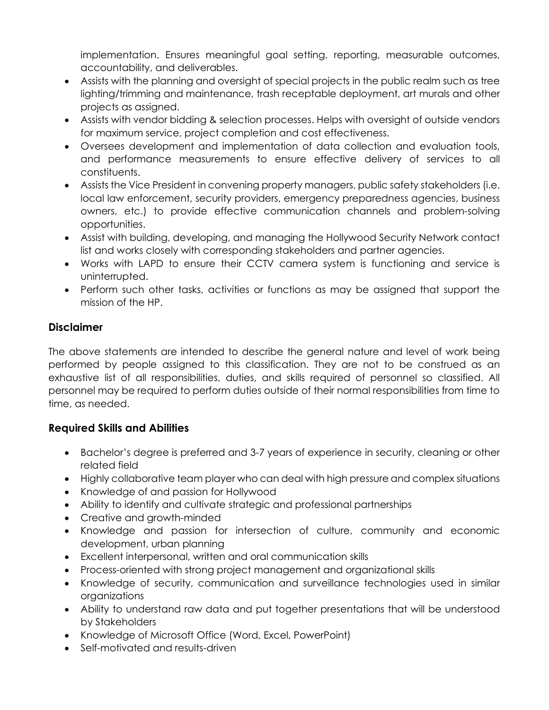implementation. Ensures meaningful goal setting, reporting, measurable outcomes, accountability, and deliverables.

- Assists with the planning and oversight of special projects in the public realm such as tree lighting/trimming and maintenance, trash receptable deployment, art murals and other projects as assigned.
- Assists with vendor bidding & selection processes. Helps with oversight of outside vendors for maximum service, project completion and cost effectiveness.
- Oversees development and implementation of data collection and evaluation tools, and performance measurements to ensure effective delivery of services to all constituents.
- Assists the Vice President in convening property managers, public safety stakeholders (i.e. local law enforcement, security providers, emergency preparedness agencies, business owners, etc.) to provide effective communication channels and problem-solving opportunities.
- Assist with building, developing, and managing the Hollywood Security Network contact list and works closely with corresponding stakeholders and partner agencies.
- Works with LAPD to ensure their CCTV camera system is functioning and service is uninterrupted.
- Perform such other tasks, activities or functions as may be assigned that support the mission of the HP.

# Disclaimer

The above statements are intended to describe the general nature and level of work being performed by people assigned to this classification. They are not to be construed as an exhaustive list of all responsibilities, duties, and skills required of personnel so classified. All personnel may be required to perform duties outside of their normal responsibilities from time to time, as needed.

# Required Skills and Abilities

- Bachelor's degree is preferred and 3-7 years of experience in security, cleaning or other related field
- Highly collaborative team player who can deal with high pressure and complex situations
- Knowledge of and passion for Hollywood
- Ability to identify and cultivate strategic and professional partnerships
- Creative and growth-minded
- Knowledge and passion for intersection of culture, community and economic development, urban planning
- Excellent interpersonal, written and oral communication skills
- Process-oriented with strong project management and organizational skills
- Knowledge of security, communication and surveillance technologies used in similar organizations
- Ability to understand raw data and put together presentations that will be understood by Stakeholders
- Knowledge of Microsoft Office (Word, Excel, PowerPoint)
- Self-motivated and results-driven